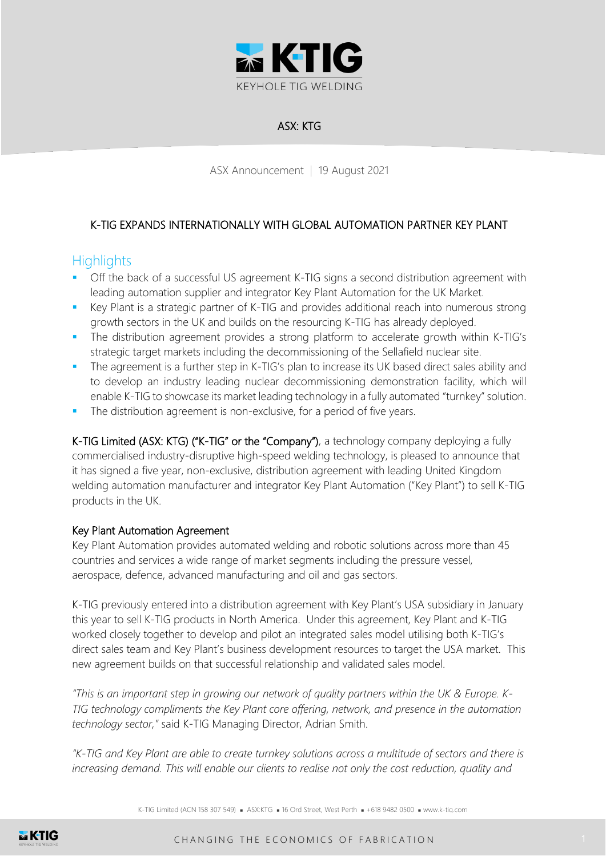

# ASX: KTG

ASX Announcement | 19 August 2021

## K-TIG EXPANDS INTERNATIONALLY WITH GLOBAL AUTOMATION PARTNER KEY PLANT

# **Highlights**

- Off the back of a successful US agreement K-TIG signs a second distribution agreement with leading automation supplier and integrator Key Plant Automation for the UK Market.
- Key Plant is a strategic partner of K-TIG and provides additional reach into numerous strong growth sectors in the UK and builds on the resourcing K-TIG has already deployed.
- The distribution agreement provides a strong platform to accelerate growth within K-TIG's strategic target markets including the decommissioning of the Sellafield nuclear site.
- **•** The agreement is a further step in K-TIG's plan to increase its UK based direct sales ability and to develop an industry leading nuclear decommissioning demonstration facility, which will enable K-TIG to showcase its market leading technology in a fully automated "turnkey" solution.
- The distribution agreement is non-exclusive, for a period of five years.

K-TIG Limited (ASX: KTG) ("K-TIG" or the "Company"), a technology company deploying a fully commercialised industry-disruptive high-speed welding technology, is pleased to announce that it has signed a five year, non-exclusive, distribution agreement with leading United Kingdom welding automation manufacturer and integrator Key Plant Automation ("Key Plant") to sell K-TIG products in the UK.

### Key Plant Automation Agreement

Key Plant Automation provides automated welding and robotic solutions across more than 45 countries and services a wide range of market segments including the pressure vessel, aerospace, defence, advanced manufacturing and oil and gas sectors.

K-TIG previously entered into a distribution agreement with Key Plant's USA subsidiary in January this year to sell K-TIG products in North America. Under this agreement, Key Plant and K-TIG worked closely together to develop and pilot an integrated sales model utilising both K-TIG's direct sales team and Key Plant's business development resources to target the USA market. This new agreement builds on that successful relationship and validated sales model.

*"This is an important step in growing our network of quality partners within the UK & Europe. K-TIG technology compliments the Key Plant core offering, network, and presence in the automation technology sector,"* said K-TIG Managing Director, Adrian Smith.

*"K-TIG and Key Plant are able to create turnkey solutions across a multitude of sectors and there is increasing demand. This will enable our clients to realise not only the cost reduction, quality and* 

K-TIG Limited (ACN 158 307 549) ■ ASX:KTG ■ 16 Ord Street, West Perth ■ +618 9482 0500 ■ www.k-tig.com

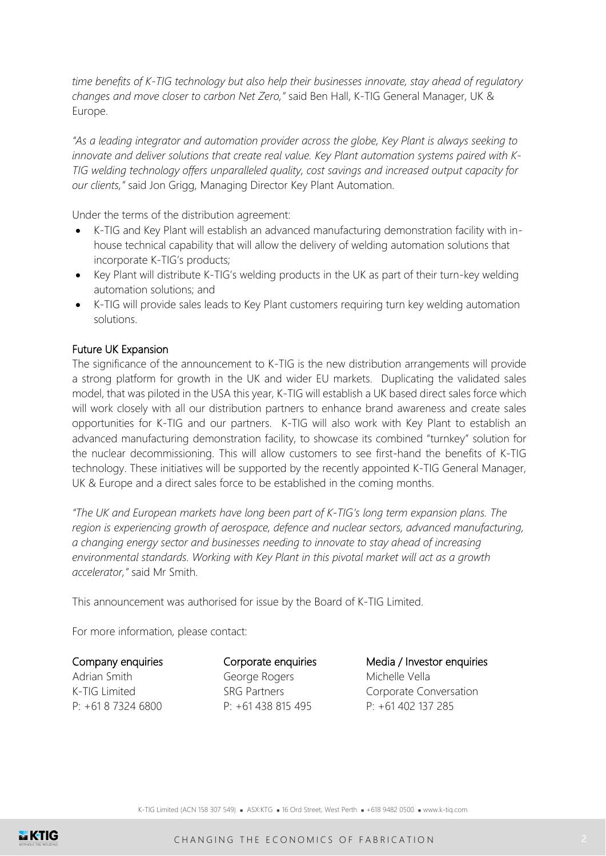*time benefits of K-TIG technology but also help their businesses innovate, stay ahead of regulatory changes and move closer to carbon Net Zero,"* said Ben Hall, K-TIG General Manager, UK & Europe.

*"As a leading integrator and automation provider across the globe, Key Plant is always seeking to innovate and deliver solutions that create real value. Key Plant automation systems paired with K-TIG welding technology offers unparalleled quality, cost savings and increased output capacity for our clients,"* said Jon Grigg, Managing Director Key Plant Automation.

Under the terms of the distribution agreement:

- K-TIG and Key Plant will establish an advanced manufacturing demonstration facility with inhouse technical capability that will allow the delivery of welding automation solutions that incorporate K-TIG's products;
- Key Plant will distribute K-TIG's welding products in the UK as part of their turn-key welding automation solutions; and
- K-TIG will provide sales leads to Key Plant customers requiring turn key welding automation solutions.

#### Future UK Expansion

The significance of the announcement to K-TIG is the new distribution arrangements will provide a strong platform for growth in the UK and wider EU markets. Duplicating the validated sales model, that was piloted in the USA this year, K-TIG will establish a UK based direct sales force which will work closely with all our distribution partners to enhance brand awareness and create sales opportunities for K-TIG and our partners. K-TIG will also work with Key Plant to establish an advanced manufacturing demonstration facility, to showcase its combined "turnkey" solution for the nuclear decommissioning. This will allow customers to see first-hand the benefits of K-TIG technology. These initiatives will be supported by the recently appointed K-TIG General Manager, UK & Europe and a direct sales force to be established in the coming months.

*"The UK and European markets have long been part of K-TIG's long term expansion plans. The region is experiencing growth of aerospace, defence and nuclear sectors, advanced manufacturing, a changing energy sector and businesses needing to innovate to stay ahead of increasing environmental standards. Working with Key Plant in this pivotal market will act as a growth accelerator,"* said Mr Smith.

This announcement was authorised for issue by the Board of K-TIG Limited.

For more information, please contact:

#### Company enquiries

Adrian Smith K-TIG Limited  $P: +61873246800$ 

Corporate enquiries George Rogers SRG Partners P: +61 438 815 495

Media / Investor enquiries Michelle Vella Corporate Conversation P: +61 402 137 285

K-TIG Limited (ACN 158 307 549) ■ ASX:KTG ■ 16 Ord Street, West Perth ■ +618 9482 0500 ■ www.k-tig.com